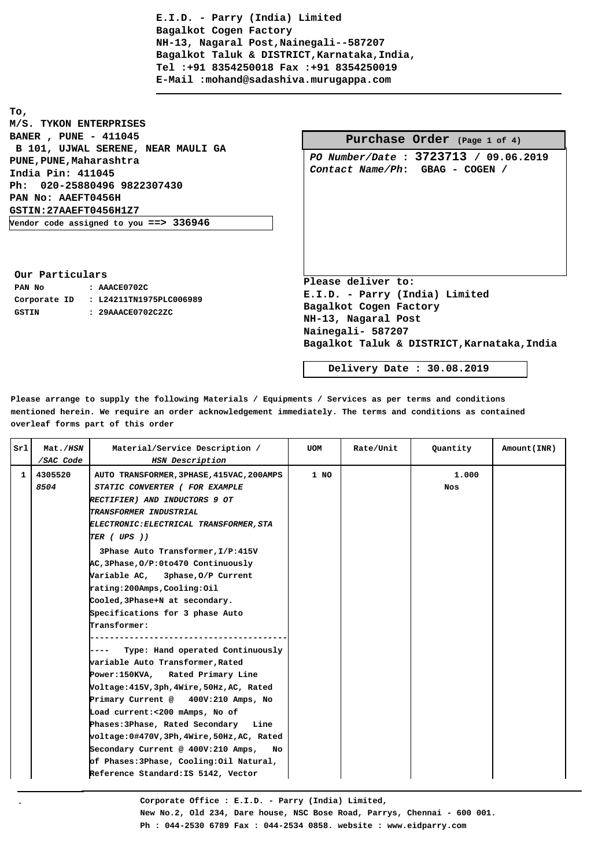**To, M/S. TYKON ENTERPRISES BANER , PUNE - 411045 B 101, UJWAL SERENE, NEAR MAULI GA PUNE,PUNE,Maharashtra India Pin: 411045 Ph: 020-25880496 9822307430 PAN No: AAEFT0456H GSTIN:27AAEFT0456H1Z7 Vendor code assigned to you ==> 336946**

|                                                                                | <b>Purchase Order</b> (Page 1 of 4) |  |                                       |
|--------------------------------------------------------------------------------|-------------------------------------|--|---------------------------------------|
|                                                                                | Contact Name/Ph: GBAG - COGEN /     |  | PO Number/Date : 3723713 / 09.06.2019 |
| Please deliver to:<br>E.I.D. - Parry (India) Limited<br>Bagalkot Cogen Factory |                                     |  |                                       |

**Bagalkot Taluk & DISTRICT,Karnataka,India**

**Our Particulars PAN No : AAACE0702C Corporate ID : L24211TN1975PLC006989 GSTIN : 29AAACE0702C2ZC**

**.**

 **Delivery Date : 30.08.2019**

**Please arrange to supply the following Materials / Equipments / Services as per terms and conditions mentioned herein. We require an order acknowledgement immediately. The terms and conditions as contained overleaf forms part of this order**

| Srl          | Mat./ <i>HSN</i>             | Material/Service Description /                                                                                                                                                                                                                                                                                                                                                                                                                                                                                                                                                                                                                                                                                                                                                                                                                                                | UOM  | Rate/Unit | Quantity            | Amount (INR) |
|--------------|------------------------------|-------------------------------------------------------------------------------------------------------------------------------------------------------------------------------------------------------------------------------------------------------------------------------------------------------------------------------------------------------------------------------------------------------------------------------------------------------------------------------------------------------------------------------------------------------------------------------------------------------------------------------------------------------------------------------------------------------------------------------------------------------------------------------------------------------------------------------------------------------------------------------|------|-----------|---------------------|--------------|
| $\mathbf{1}$ | /SAC Code<br>4305520<br>8504 | HSN Description<br>AUTO TRANSFORMER, 3PHASE, 415VAC, 200AMPS<br>STATIC CONVERTER ( FOR EXAMPLE<br><b>RECTIFIER) AND INDUCTORS 9 OT</b><br>TRANSFORMER INDUSTRIAL<br>ELECTRONIC: ELECTRICAL TRANSFORMER, STA<br>TER ( UPS ))<br>3Phase Auto Transformer, I/P:415V<br>AC, 3Phase, 0/P: 0to 470 Continuously<br>Variable AC, 3phase, 0/P Current<br>rating:200Amps,Cooling:Oil<br>Cooled, 3Phase+N at secondary.<br>Specifications for 3 phase Auto<br><b>Transformer:</b><br>Type: Hand operated Continuously<br>variable Auto Transformer,Rated<br>Power:150KVA, Rated Primary Line<br>Voltage:415V,3ph,4Wire,50Hz,AC, Rated<br>Primary Current @ 400V:210 Amps, No<br>Load current:<200 mAmps, No of<br>Phases: 3Phase, Rated Secondary Line<br>voltage:0#470V,3Ph,4Wire,50Hz,AC, Rated<br>Secondary Current @ 400V:210 Amps,<br>No<br>of Phases:3Phase, Cooling:0il Natural, | 1 NO |           | 1,000<br><b>Nos</b> |              |
|              |                              | Reference Standard: IS 5142, Vector                                                                                                                                                                                                                                                                                                                                                                                                                                                                                                                                                                                                                                                                                                                                                                                                                                           |      |           |                     |              |

**Corporate Office : E.I.D. - Parry (India) Limited, New No.2, Old 234, Dare house, NSC Bose Road, Parrys, Chennai - 600 001. Ph : 044-2530 6789 Fax : 044-2534 0858. website : www.eidparry.com**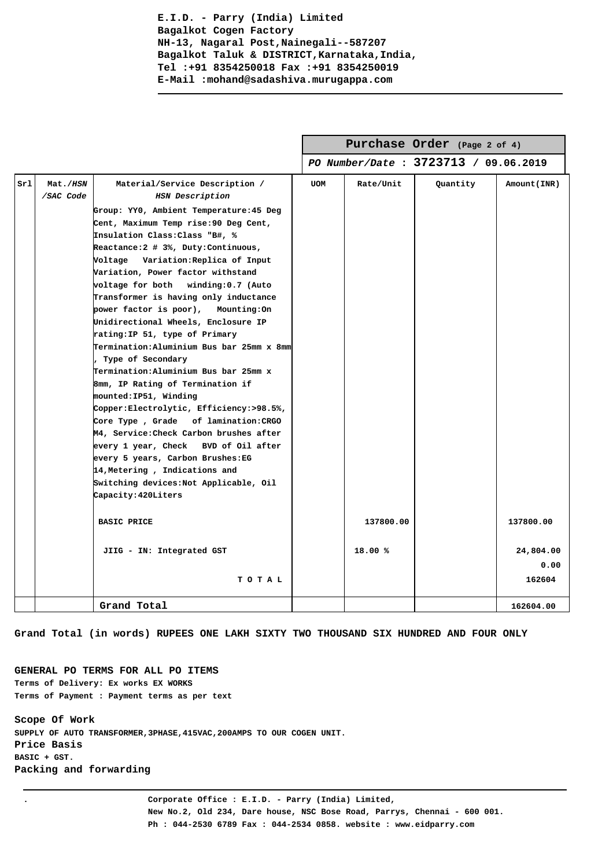|     |                       |                                                                                                                                                                                                                                                                                                                                                                                                                                                                                                                                                                                                                                                                                                                                                                                                                                                                                                                                                                                   |            |           | Purchase Order (Page 2 of 4)          |                             |
|-----|-----------------------|-----------------------------------------------------------------------------------------------------------------------------------------------------------------------------------------------------------------------------------------------------------------------------------------------------------------------------------------------------------------------------------------------------------------------------------------------------------------------------------------------------------------------------------------------------------------------------------------------------------------------------------------------------------------------------------------------------------------------------------------------------------------------------------------------------------------------------------------------------------------------------------------------------------------------------------------------------------------------------------|------------|-----------|---------------------------------------|-----------------------------|
|     |                       |                                                                                                                                                                                                                                                                                                                                                                                                                                                                                                                                                                                                                                                                                                                                                                                                                                                                                                                                                                                   |            |           | PO Number/Date : 3723713 / 09.06.2019 |                             |
| sr1 | Mat./HSN<br>/SAC Code | Material/Service Description /<br>HSN Description<br>Group: YY0, Ambient Temperature: 45 Deg<br>Cent, Maximum Temp rise: 90 Deg Cent,<br>Insulation Class: Class "B#, %<br>Reactance: 2 # 3%, Duty: Continuous,<br>Voltage Variation:Replica of Input<br>Variation, Power factor withstand<br>voltage for both winding:0.7 (Auto<br>Transformer is having only inductance<br>power factor is poor),<br>Mounting:On<br>Unidirectional Wheels, Enclosure IP<br>rating: IP 51, type of Primary<br>Termination: Aluminium Bus bar 25mm x 8mm<br>, Type of Secondary<br>Termination: Aluminium Bus bar 25mm x<br>8mm, IP Rating of Termination if<br>mounted: IP51, Winding<br>Copper:Electrolytic, Efficiency:>98.5%,<br>Core Type, Grade of lamination: CRGO<br>M4, Service: Check Carbon brushes after<br>every 1 year, Check BVD of Oil after<br>every 5 years, Carbon Brushes:EG<br>14, Metering, Indications and<br>Switching devices:Not Applicable, Oil<br>Capacity: 420Liters | <b>UOM</b> | Rate/Unit | Quantity                              | Amount(INR)                 |
|     |                       | <b>BASIC PRICE</b>                                                                                                                                                                                                                                                                                                                                                                                                                                                                                                                                                                                                                                                                                                                                                                                                                                                                                                                                                                |            | 137800.00 |                                       | 137800.00                   |
|     |                       | JIIG - IN: Integrated GST<br>TOTAL                                                                                                                                                                                                                                                                                                                                                                                                                                                                                                                                                                                                                                                                                                                                                                                                                                                                                                                                                |            | 18.00 %   |                                       | 24,804.00<br>0.00<br>162604 |
|     |                       | Grand Total                                                                                                                                                                                                                                                                                                                                                                                                                                                                                                                                                                                                                                                                                                                                                                                                                                                                                                                                                                       |            |           |                                       | 162604.00                   |

**Grand Total (in words) RUPEES ONE LAKH SIXTY TWO THOUSAND SIX HUNDRED AND FOUR ONLY**

**GENERAL PO TERMS FOR ALL PO ITEMS Terms of Delivery: Ex works EX WORKS Terms of Payment : Payment terms as per text**

**Scope Of Work SUPPLY OF AUTO TRANSFORMER,3PHASE,415VAC,200AMPS TO OUR COGEN UNIT. Price Basis BASIC + GST. Packing and forwarding**

**. Corporate Office : E.I.D. - Parry (India) Limited, New No.2, Old 234, Dare house, NSC Bose Road, Parrys, Chennai - 600 001. Ph : 044-2530 6789 Fax : 044-2534 0858. website : www.eidparry.com**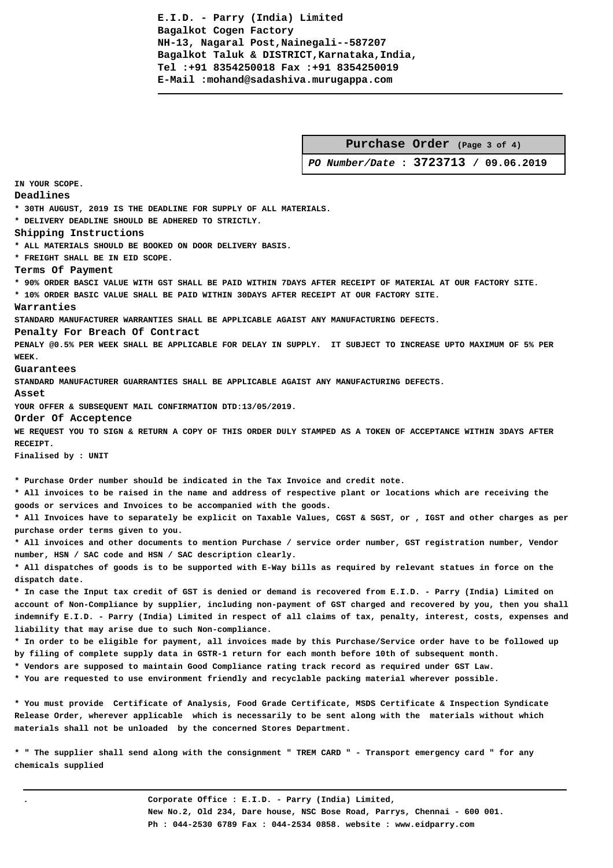|--|

 **PO Number/Date : 3723713 / 09.06.2019 IN YOUR SCOPE. Deadlines \* 30TH AUGUST, 2019 IS THE DEADLINE FOR SUPPLY OF ALL MATERIALS. \* DELIVERY DEADLINE SHOULD BE ADHERED TO STRICTLY. Shipping Instructions \* ALL MATERIALS SHOULD BE BOOKED ON DOOR DELIVERY BASIS. \* FREIGHT SHALL BE IN EID SCOPE. Terms Of Payment \* 90% ORDER BASCI VALUE WITH GST SHALL BE PAID WITHIN 7DAYS AFTER RECEIPT OF MATERIAL AT OUR FACTORY SITE. \* 10% ORDER BASIC VALUE SHALL BE PAID WITHIN 30DAYS AFTER RECEIPT AT OUR FACTORY SITE. Warranties STANDARD MANUFACTURER WARRANTIES SHALL BE APPLICABLE AGAIST ANY MANUFACTURING DEFECTS. Penalty For Breach Of Contract PENALY @0.5% PER WEEK SHALL BE APPLICABLE FOR DELAY IN SUPPLY. IT SUBJECT TO INCREASE UPTO MAXIMUM OF 5% PER WEEK. Guarantees STANDARD MANUFACTURER GUARRANTIES SHALL BE APPLICABLE AGAIST ANY MANUFACTURING DEFECTS. Asset YOUR OFFER & SUBSEQUENT MAIL CONFIRMATION DTD:13/05/2019. Order Of Acceptence WE REQUEST YOU TO SIGN & RETURN A COPY OF THIS ORDER DULY STAMPED AS A TOKEN OF ACCEPTANCE WITHIN 3DAYS AFTER RECEIPT. Finalised by : UNIT \* Purchase Order number should be indicated in the Tax Invoice and credit note. \* All invoices to be raised in the name and address of respective plant or locations which are receiving the goods or services and Invoices to be accompanied with the goods. \* All Invoices have to separately be explicit on Taxable Values, CGST & SGST, or , IGST and other charges as per purchase order terms given to you. \* All invoices and other documents to mention Purchase / service order number, GST registration number, Vendor number, HSN / SAC code and HSN / SAC description clearly. \* All dispatches of goods is to be supported with E-Way bills as required by relevant statues in force on the dispatch date. \* In case the Input tax credit of GST is denied or demand is recovered from E.I.D. - Parry (India) Limited on account of Non-Compliance by supplier, including non-payment of GST charged and recovered by you, then you shall indemnify E.I.D. - Parry (India) Limited in respect of all claims of tax, penalty, interest, costs, expenses and liability that may arise due to such Non-compliance. \* In order to be eligible for payment, all invoices made by this Purchase/Service order have to be followed up by filing of complete supply data in GSTR-1 return for each month before 10th of subsequent month. \* Vendors are supposed to maintain Good Compliance rating track record as required under GST Law. \* You are requested to use environment friendly and recyclable packing material wherever possible. \* You must provide Certificate of Analysis, Food Grade Certificate, MSDS Certificate & Inspection Syndicate Release Order, wherever applicable which is necessarily to be sent along with the materials without which materials shall not be unloaded by the concerned Stores Department. \* " The supplier shall send along with the consignment " TREM CARD " - Transport emergency card " for any**

**chemicals supplied**

**. Corporate Office : E.I.D. - Parry (India) Limited, New No.2, Old 234, Dare house, NSC Bose Road, Parrys, Chennai - 600 001. Ph : 044-2530 6789 Fax : 044-2534 0858. website : www.eidparry.com**